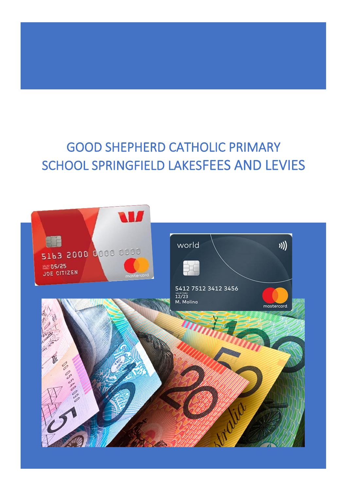# GOOD SHEPHERD CATHOLIC PRIMARY SCHOOL SPRINGFIELD LAKESFEES AND LEVIES

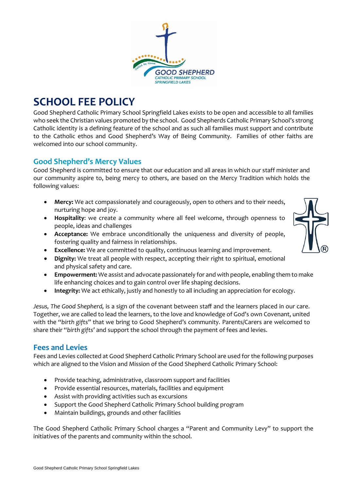

## **SCHOOL FEE POLICY**

Good Shepherd Catholic Primary School Springfield Lakes exists to be open and accessible to all families who seek the Christian values promoted by the school. Good Shepherds Catholic Primary School's strong Catholic identity is a defining feature of the school and as such all families must support and contribute to the Catholic ethos and Good Shepherd's Way of Being Community. Families of other faiths are welcomed into our school community.

## **Good Shepherd's Mercy Values**

Good Shepherd is committed to ensure that our education and all areas in which our staff minister and our community aspire to, being mercy to others, are based on the Mercy Tradition which holds the following values:

- **Mercy:** We act compassionately and courageously, open to others and to their needs, nurturing hope and joy.
- **Hospitality**: we create a community where all feel welcome, through openness to people, ideas and challenges
- **Acceptance:** We embrace unconditionally the uniqueness and diversity of people, fostering quality and fairness in relationships.
- **Excellence:** We are committed to quality, continuous learning and improvement.
- **Dignity:** We treat all people with respect, accepting their right to spiritual, emotional and physical safety and care.
- **Empowerment:** We assist and advocate passionately for and with people, enabling them to make life enhancing choices and to gain control over life shaping decisions.
- **Integrity:** We act ethically, justly and honestly to all including an appreciation for ecology.

*Jesus, The Good Shepherd,* is a sign of the covenant between staff and the learners placed in our care. Together, we are called to lead the learners, to the love and knowledge of God's own Covenant, united with the "*birth gifts"* that we bring to Good Shepherd's community. Parents/Carers are welcomed to share their "*birth gifts'* and support the school through the payment of fees and levies.

## **Fees and Levies**

Fees and Levies collected at Good Shepherd Catholic Primary School are used for the following purposes which are aligned to the Vision and Mission of the Good Shepherd Catholic Primary School:

- Provide teaching, administrative, classroom support and facilities
- Provide essential resources, materials, facilities and equipment
- Assist with providing activities such as excursions
- Support the Good Shepherd Catholic Primary School building program
- Maintain buildings, grounds and other facilities

The Good Shepherd Catholic Primary School charges a "Parent and Community Levy" to support the initiatives of the parents and community within the school.

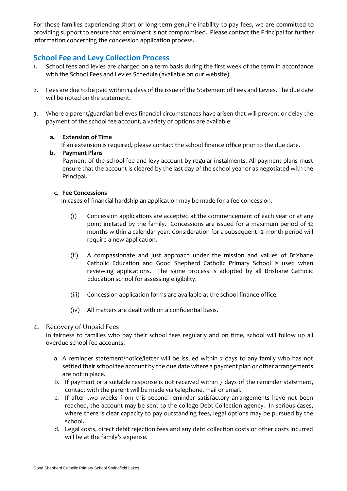For those families experiencing short or long-term genuine inability to pay fees, we are committed to providing support to ensure that enrolment is not compromised. Please contact the Principal for further information concerning the concession application process.

## **School Fee and Levy Collection Process**

- 1. School fees and levies are charged on a term basis during the first week of the term in accordance with the School Fees and Levies Schedule (available on our website).
- 2. Fees are due to be paid within 14 days of the issue of the Statement of Fees and Levies. The due date will be noted on the statement.
- 3. Where a parent/guardian believes financial circumstances have arisen that will prevent or delay the payment of the school fee account, a variety of options are available:

#### **a. Extension of Time**

If an extension is required, please contact the school finance office prior to the due date.

**b. Payment Plans** Payment of the school fee and levy account by regular instalments. All payment plans must ensure that the account is cleared by the last day of the school year or as negotiated with the Principal.

#### **c. Fee Concessions**

In cases of financial hardship an application may be made for a fee concession.

- (i) Concession applications are accepted at the commencement of each year or at any point imitated by the family. Concessions are issued for a maximum period of 12 months within a calendar year. Consideration for a subsequent 12-month period will require a new application.
- (ii) A compassionate and just approach under the mission and values of Brisbane Catholic Education and Good Shepherd Catholic Primary School is used when reviewing applications. The same process is adopted by all Brisbane Catholic Education school for assessing eligibility.
- (iii) Concession application forms are available at the school finance office.
- (iv) All matters are dealt with on a confidential basis.

#### 4. Recovery of Unpaid Fees

In fairness to families who pay their school fees regularly and on time, school will follow up all overdue school fee accounts.

- a. A reminder statement/notice/letter will be issued within 7 days to any family who has not settled their school fee account by the due date where a payment plan or other arrangements are not in place.
- b. If payment or a suitable response is not received within 7 days of the reminder statement, contact with the parent will be made via telephone, mail or email.
- c. If after two weeks from this second reminder satisfactory arrangements have not been reached, the account may be sent to the college Debt Collection agency. In serious cases, where there is clear capacity to pay outstanding fees, legal options may be pursued by the school.
- d. Legal costs, direct debit rejection fees and any debt collection costs or other costs incurred will be at the family's expense.